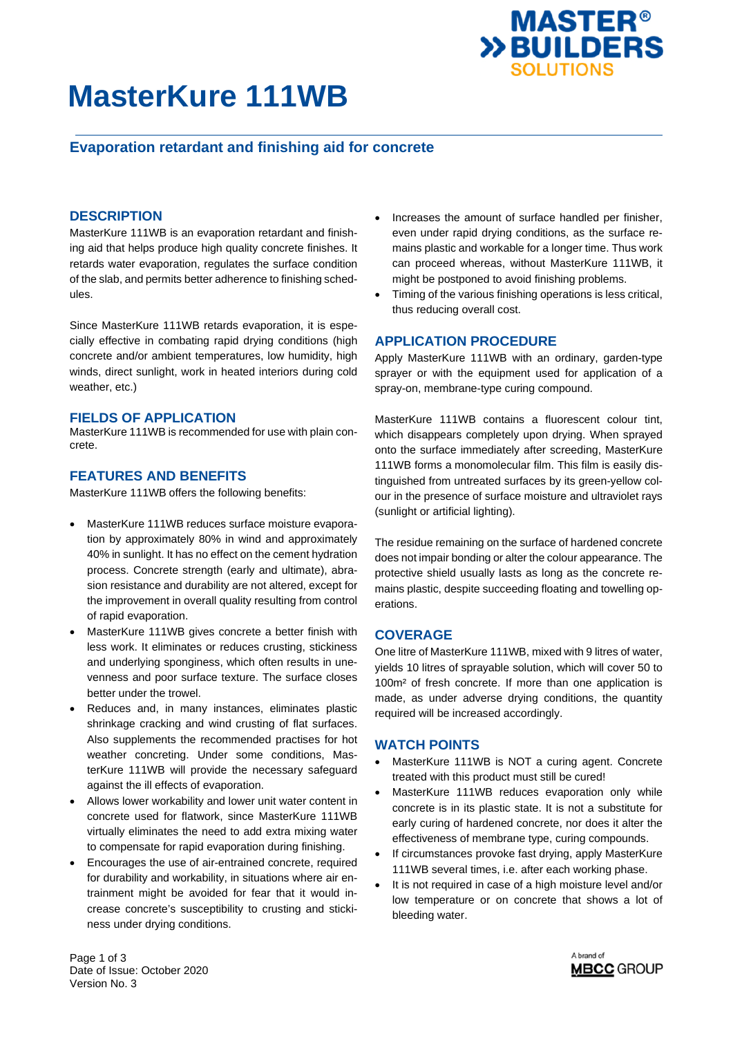

# **MasterKure 111WB**

# **Evaporation retardant and finishing aid for concrete**

## **DESCRIPTION**

MasterKure 111WB is an evaporation retardant and finishing aid that helps produce high quality concrete finishes. It retards water evaporation, regulates the surface condition of the slab, and permits better adherence to finishing schedules.

Since MasterKure 111WB retards evaporation, it is especially effective in combating rapid drying conditions (high concrete and/or ambient temperatures, low humidity, high winds, direct sunlight, work in heated interiors during cold weather, etc.)

### **FIELDS OF APPLICATION**

MasterKure 111WB is recommended for use with plain concrete.

### **FEATURES AND BENEFITS**

MasterKure 111WB offers the following benefits:

- MasterKure 111WB reduces surface moisture evaporation by approximately 80% in wind and approximately 40% in sunlight. It has no effect on the cement hydration process. Concrete strength (early and ultimate), abrasion resistance and durability are not altered, except for the improvement in overall quality resulting from control of rapid evaporation.
- MasterKure 111WB gives concrete a better finish with less work. It eliminates or reduces crusting, stickiness and underlying sponginess, which often results in unevenness and poor surface texture. The surface closes better under the trowel.
- Reduces and, in many instances, eliminates plastic shrinkage cracking and wind crusting of flat surfaces. Also supplements the recommended practises for hot weather concreting. Under some conditions, MasterKure 111WB will provide the necessary safeguard against the ill effects of evaporation.
- Allows lower workability and lower unit water content in concrete used for flatwork, since MasterKure 111WB virtually eliminates the need to add extra mixing water to compensate for rapid evaporation during finishing.
- Encourages the use of air-entrained concrete, required for durability and workability, in situations where air entrainment might be avoided for fear that it would increase concrete's susceptibility to crusting and stickiness under drying conditions.
- Increases the amount of surface handled per finisher, even under rapid drying conditions, as the surface remains plastic and workable for a longer time. Thus work can proceed whereas, without MasterKure 111WB, it might be postponed to avoid finishing problems.
- Timing of the various finishing operations is less critical, thus reducing overall cost.

### **APPLICATION PROCEDURE**

Apply MasterKure 111WB with an ordinary, garden-type sprayer or with the equipment used for application of a spray-on, membrane-type curing compound.

MasterKure 111WB contains a fluorescent colour tint, which disappears completely upon drying. When sprayed onto the surface immediately after screeding, MasterKure 111WB forms a monomolecular film. This film is easily distinguished from untreated surfaces by its green-yellow colour in the presence of surface moisture and ultraviolet rays (sunlight or artificial lighting).

The residue remaining on the surface of hardened concrete does not impair bonding or alter the colour appearance. The protective shield usually lasts as long as the concrete remains plastic, despite succeeding floating and towelling operations.

## **COVERAGE**

One litre of MasterKure 111WB, mixed with 9 litres of water, yields 10 litres of sprayable solution, which will cover 50 to 100m² of fresh concrete. If more than one application is made, as under adverse drying conditions, the quantity required will be increased accordingly.

### **WATCH POINTS**

- MasterKure 111WB is NOT a curing agent. Concrete treated with this product must still be cured!
- MasterKure 111WB reduces evaporation only while concrete is in its plastic state. It is not a substitute for early curing of hardened concrete, nor does it alter the effectiveness of membrane type, curing compounds.
- If circumstances provoke fast drying, apply MasterKure 111WB several times, i.e. after each working phase.
- It is not required in case of a high moisture level and/or low temperature or on concrete that shows a lot of bleeding water.

Page 1 of 3 Date of Issue: October 2020 Version No. 3

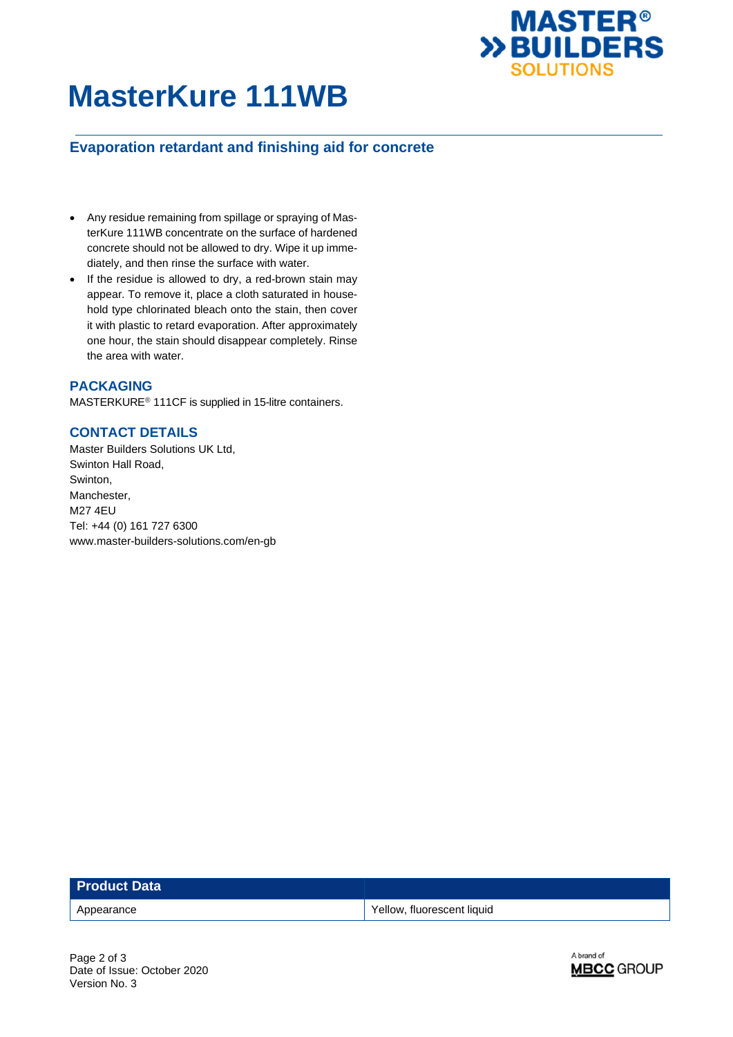

# **MasterKure 111WB**

# **Evaporation retardant and finishing aid for concrete**

- Any residue remaining from spillage or spraying of MasterKure 111WB concentrate on the surface of hardened concrete should not be allowed to dry. Wipe it up immediately, and then rinse the surface with water.
- If the residue is allowed to dry, a red-brown stain may appear. To remove it, place a cloth saturated in household type chlorinated bleach onto the stain, then cover it with plastic to retard evaporation. After approximately one hour, the stain should disappear completely. Rinse the area with water.

## **PACKAGING**

MASTERKURE<sup>®</sup> 111CF is supplied in 15-litre containers.

# **CONTACT DETAILS**

Master Builders Solutions UK Ltd, Swinton Hall Road, Swinton, Manchester, M27 4EU Tel: +44 (0) 161 727 6300 www.master-builders-solutions.com/en-gb

| <b>Product Data</b> |                            |
|---------------------|----------------------------|
| Appearance          | Yellow, fluorescent liquid |